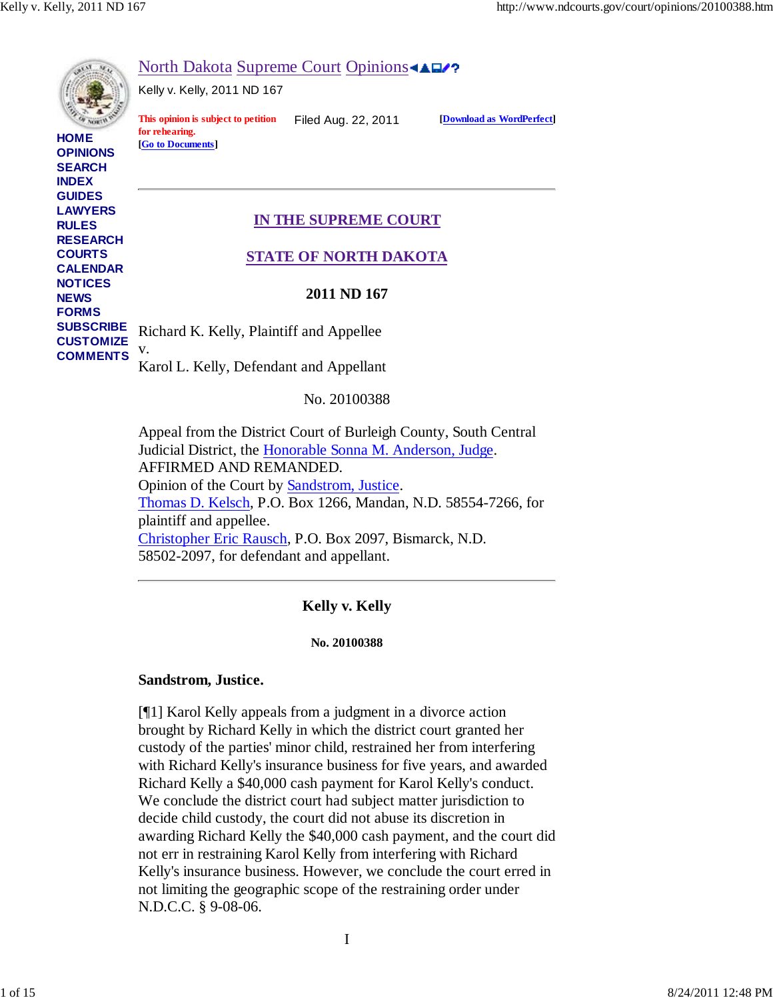

Appeal from the District Court of Burleigh County, South Central Judicial District, the Honorable Sonna M. Anderson, Judge. AFFIRMED AND REMANDED. Opinion of the Court by Sandstrom, Justice. Thomas D. Kelsch, P.O. Box 1266, Mandan, N.D. 58554-7266, for plaintiff and appellee. Christopher Eric Rausch, P.O. Box 2097, Bismarck, N.D. 58502-2097, for defendant and appellant.

# **Kelly v. Kelly**

#### **No. 20100388**

### **Sandstrom, Justice.**

[¶1] Karol Kelly appeals from a judgment in a divorce action brought by Richard Kelly in which the district court granted her custody of the parties' minor child, restrained her from interfering with Richard Kelly's insurance business for five years, and awarded Richard Kelly a \$40,000 cash payment for Karol Kelly's conduct. We conclude the district court had subject matter jurisdiction to decide child custody, the court did not abuse its discretion in awarding Richard Kelly the \$40,000 cash payment, and the court did not err in restraining Karol Kelly from interfering with Richard Kelly's insurance business. However, we conclude the court erred in not limiting the geographic scope of the restraining order under N.D.C.C. § 9-08-06.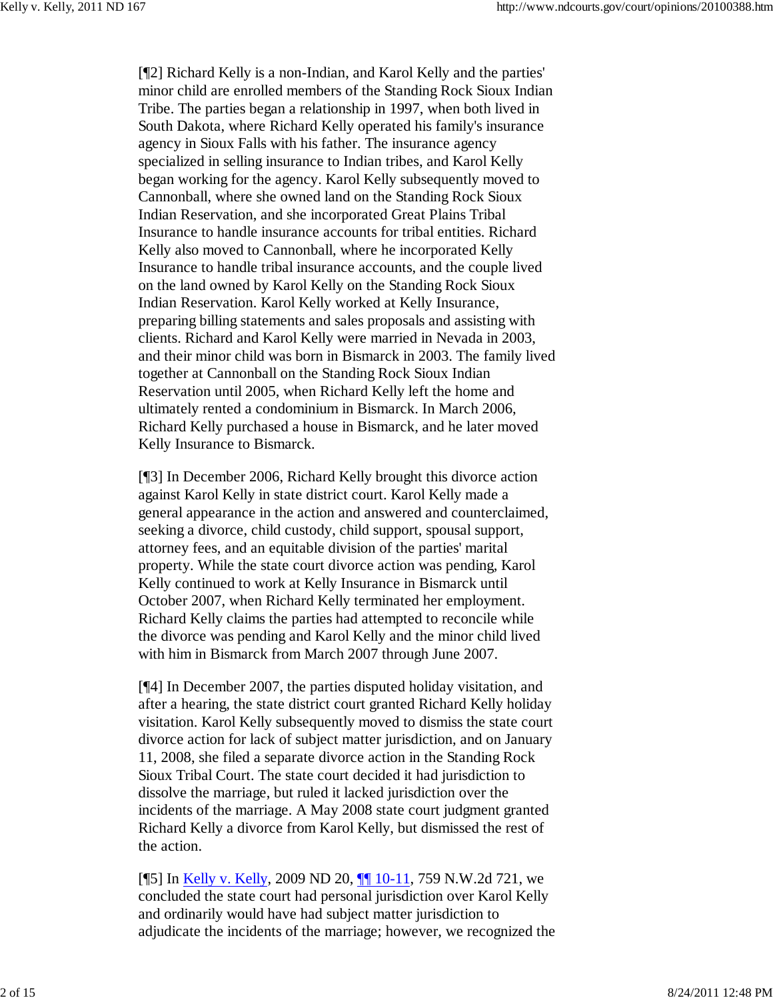[¶2] Richard Kelly is a non-Indian, and Karol Kelly and the parties' minor child are enrolled members of the Standing Rock Sioux Indian Tribe. The parties began a relationship in 1997, when both lived in South Dakota, where Richard Kelly operated his family's insurance agency in Sioux Falls with his father. The insurance agency specialized in selling insurance to Indian tribes, and Karol Kelly began working for the agency. Karol Kelly subsequently moved to Cannonball, where she owned land on the Standing Rock Sioux Indian Reservation, and she incorporated Great Plains Tribal Insurance to handle insurance accounts for tribal entities. Richard Kelly also moved to Cannonball, where he incorporated Kelly Insurance to handle tribal insurance accounts, and the couple lived on the land owned by Karol Kelly on the Standing Rock Sioux Indian Reservation. Karol Kelly worked at Kelly Insurance, preparing billing statements and sales proposals and assisting with clients. Richard and Karol Kelly were married in Nevada in 2003, and their minor child was born in Bismarck in 2003. The family lived together at Cannonball on the Standing Rock Sioux Indian Reservation until 2005, when Richard Kelly left the home and ultimately rented a condominium in Bismarck. In March 2006, Richard Kelly purchased a house in Bismarck, and he later moved Kelly Insurance to Bismarck.

[¶3] In December 2006, Richard Kelly brought this divorce action against Karol Kelly in state district court. Karol Kelly made a general appearance in the action and answered and counterclaimed, seeking a divorce, child custody, child support, spousal support, attorney fees, and an equitable division of the parties' marital property. While the state court divorce action was pending, Karol Kelly continued to work at Kelly Insurance in Bismarck until October 2007, when Richard Kelly terminated her employment. Richard Kelly claims the parties had attempted to reconcile while the divorce was pending and Karol Kelly and the minor child lived with him in Bismarck from March 2007 through June 2007.

[¶4] In December 2007, the parties disputed holiday visitation, and after a hearing, the state district court granted Richard Kelly holiday visitation. Karol Kelly subsequently moved to dismiss the state court divorce action for lack of subject matter jurisdiction, and on January 11, 2008, she filed a separate divorce action in the Standing Rock Sioux Tribal Court. The state court decided it had jurisdiction to dissolve the marriage, but ruled it lacked jurisdiction over the incidents of the marriage. A May 2008 state court judgment granted Richard Kelly a divorce from Karol Kelly, but dismissed the rest of the action.

[¶5] In Kelly v. Kelly, 2009 ND 20, ¶¶ 10-11, 759 N.W.2d 721, we concluded the state court had personal jurisdiction over Karol Kelly and ordinarily would have had subject matter jurisdiction to adjudicate the incidents of the marriage; however, we recognized the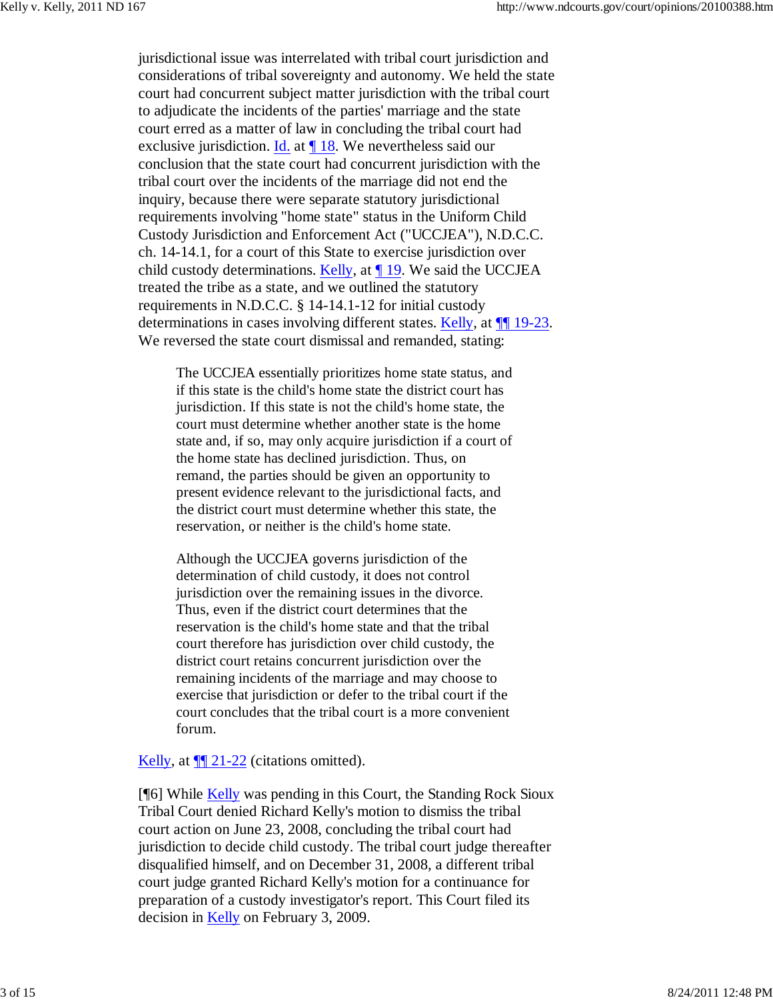jurisdictional issue was interrelated with tribal court jurisdiction and considerations of tribal sovereignty and autonomy. We held the state court had concurrent subject matter jurisdiction with the tribal court to adjudicate the incidents of the parties' marriage and the state court erred as a matter of law in concluding the tribal court had exclusive jurisdiction. Id. at ¶ 18. We nevertheless said our conclusion that the state court had concurrent jurisdiction with the tribal court over the incidents of the marriage did not end the inquiry, because there were separate statutory jurisdictional requirements involving "home state" status in the Uniform Child Custody Jurisdiction and Enforcement Act ("UCCJEA"), N.D.C.C. ch. 14-14.1, for a court of this State to exercise jurisdiction over child custody determinations. Kelly, at ¶ 19. We said the UCCJEA treated the tribe as a state, and we outlined the statutory requirements in N.D.C.C. § 14-14.1-12 for initial custody determinations in cases involving different states. Kelly, at  $\P$  19-23. We reversed the state court dismissal and remanded, stating:

The UCCJEA essentially prioritizes home state status, and if this state is the child's home state the district court has jurisdiction. If this state is not the child's home state, the court must determine whether another state is the home state and, if so, may only acquire jurisdiction if a court of the home state has declined jurisdiction. Thus, on remand, the parties should be given an opportunity to present evidence relevant to the jurisdictional facts, and the district court must determine whether this state, the reservation, or neither is the child's home state.

Although the UCCJEA governs jurisdiction of the determination of child custody, it does not control jurisdiction over the remaining issues in the divorce. Thus, even if the district court determines that the reservation is the child's home state and that the tribal court therefore has jurisdiction over child custody, the district court retains concurrent jurisdiction over the remaining incidents of the marriage and may choose to exercise that jurisdiction or defer to the tribal court if the court concludes that the tribal court is a more convenient forum.

Kelly, at  $\P$  21-22 (citations omitted).

[¶6] While Kelly was pending in this Court, the Standing Rock Sioux Tribal Court denied Richard Kelly's motion to dismiss the tribal court action on June 23, 2008, concluding the tribal court had jurisdiction to decide child custody. The tribal court judge thereafter disqualified himself, and on December 31, 2008, a different tribal court judge granted Richard Kelly's motion for a continuance for preparation of a custody investigator's report. This Court filed its decision in Kelly on February 3, 2009.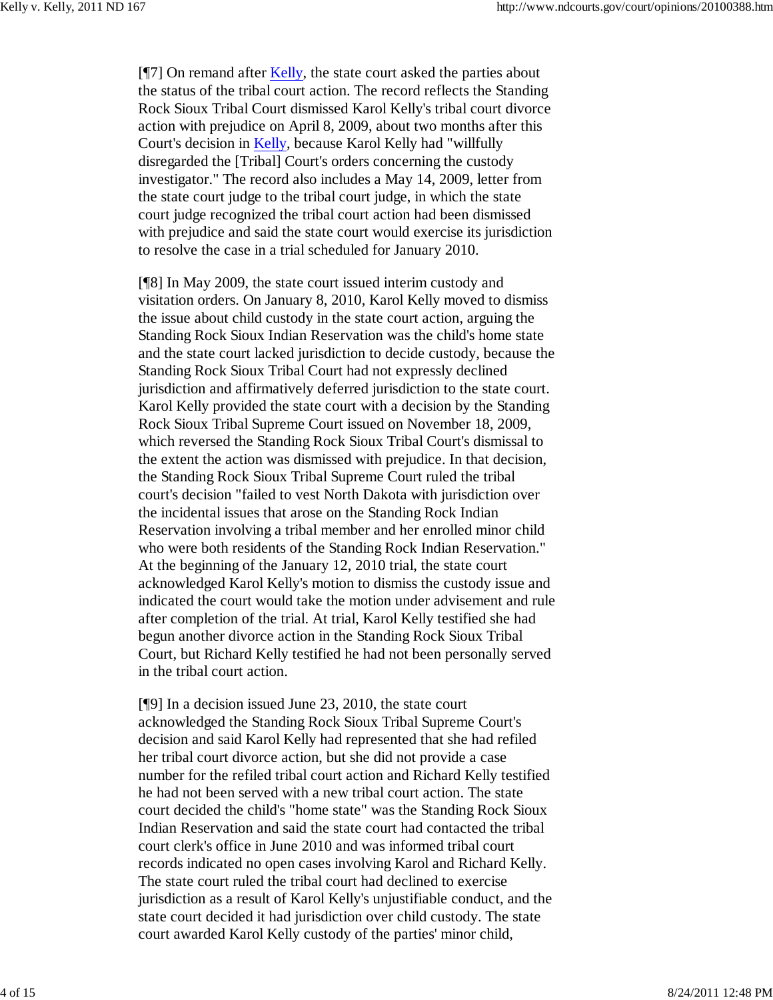$[$ [[7] On remand after Kelly, the state court asked the parties about the status of the tribal court action. The record reflects the Standing Rock Sioux Tribal Court dismissed Karol Kelly's tribal court divorce action with prejudice on April 8, 2009, about two months after this Court's decision in Kelly, because Karol Kelly had "willfully disregarded the [Tribal] Court's orders concerning the custody investigator." The record also includes a May 14, 2009, letter from the state court judge to the tribal court judge, in which the state court judge recognized the tribal court action had been dismissed with prejudice and said the state court would exercise its jurisdiction to resolve the case in a trial scheduled for January 2010.

[¶8] In May 2009, the state court issued interim custody and visitation orders. On January 8, 2010, Karol Kelly moved to dismiss the issue about child custody in the state court action, arguing the Standing Rock Sioux Indian Reservation was the child's home state and the state court lacked jurisdiction to decide custody, because the Standing Rock Sioux Tribal Court had not expressly declined jurisdiction and affirmatively deferred jurisdiction to the state court. Karol Kelly provided the state court with a decision by the Standing Rock Sioux Tribal Supreme Court issued on November 18, 2009, which reversed the Standing Rock Sioux Tribal Court's dismissal to the extent the action was dismissed with prejudice. In that decision, the Standing Rock Sioux Tribal Supreme Court ruled the tribal court's decision "failed to vest North Dakota with jurisdiction over the incidental issues that arose on the Standing Rock Indian Reservation involving a tribal member and her enrolled minor child who were both residents of the Standing Rock Indian Reservation." At the beginning of the January 12, 2010 trial, the state court acknowledged Karol Kelly's motion to dismiss the custody issue and indicated the court would take the motion under advisement and rule after completion of the trial. At trial, Karol Kelly testified she had begun another divorce action in the Standing Rock Sioux Tribal Court, but Richard Kelly testified he had not been personally served in the tribal court action.

[¶9] In a decision issued June 23, 2010, the state court acknowledged the Standing Rock Sioux Tribal Supreme Court's decision and said Karol Kelly had represented that she had refiled her tribal court divorce action, but she did not provide a case number for the refiled tribal court action and Richard Kelly testified he had not been served with a new tribal court action. The state court decided the child's "home state" was the Standing Rock Sioux Indian Reservation and said the state court had contacted the tribal court clerk's office in June 2010 and was informed tribal court records indicated no open cases involving Karol and Richard Kelly. The state court ruled the tribal court had declined to exercise jurisdiction as a result of Karol Kelly's unjustifiable conduct, and the state court decided it had jurisdiction over child custody. The state court awarded Karol Kelly custody of the parties' minor child,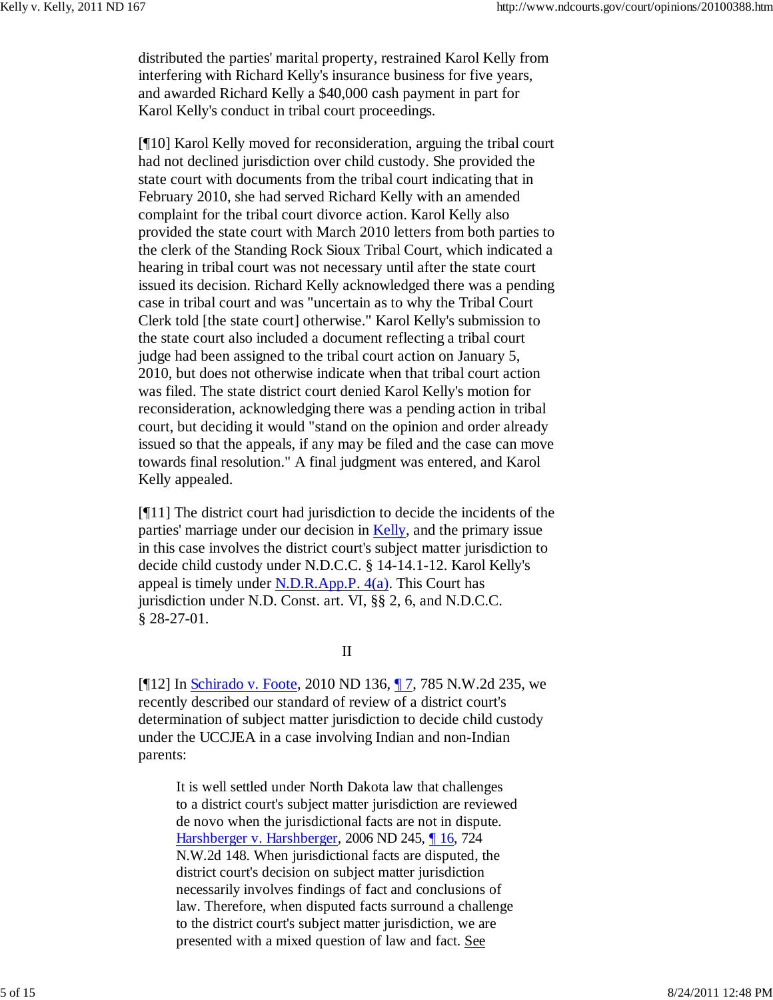distributed the parties' marital property, restrained Karol Kelly from interfering with Richard Kelly's insurance business for five years, and awarded Richard Kelly a \$40,000 cash payment in part for Karol Kelly's conduct in tribal court proceedings.

[¶10] Karol Kelly moved for reconsideration, arguing the tribal court had not declined jurisdiction over child custody. She provided the state court with documents from the tribal court indicating that in February 2010, she had served Richard Kelly with an amended complaint for the tribal court divorce action. Karol Kelly also provided the state court with March 2010 letters from both parties to the clerk of the Standing Rock Sioux Tribal Court, which indicated a hearing in tribal court was not necessary until after the state court issued its decision. Richard Kelly acknowledged there was a pending case in tribal court and was "uncertain as to why the Tribal Court Clerk told [the state court] otherwise." Karol Kelly's submission to the state court also included a document reflecting a tribal court judge had been assigned to the tribal court action on January 5, 2010, but does not otherwise indicate when that tribal court action was filed. The state district court denied Karol Kelly's motion for reconsideration, acknowledging there was a pending action in tribal court, but deciding it would "stand on the opinion and order already issued so that the appeals, if any may be filed and the case can move towards final resolution." A final judgment was entered, and Karol Kelly appealed.

[¶11] The district court had jurisdiction to decide the incidents of the parties' marriage under our decision in Kelly, and the primary issue in this case involves the district court's subject matter jurisdiction to decide child custody under N.D.C.C. § 14-14.1-12. Karol Kelly's appeal is timely under  $N.D.R.App.P. 4(a)$ . This Court has jurisdiction under N.D. Const. art. VI, §§ 2, 6, and N.D.C.C. § 28-27-01.

### II

[¶12] In Schirado v. Foote, 2010 ND 136, ¶ 7, 785 N.W.2d 235, we recently described our standard of review of a district court's determination of subject matter jurisdiction to decide child custody under the UCCJEA in a case involving Indian and non-Indian parents:

It is well settled under North Dakota law that challenges to a district court's subject matter jurisdiction are reviewed de novo when the jurisdictional facts are not in dispute. Harshberger v. Harshberger, 2006 ND 245, ¶ 16, 724 N.W.2d 148. When jurisdictional facts are disputed, the district court's decision on subject matter jurisdiction necessarily involves findings of fact and conclusions of law. Therefore, when disputed facts surround a challenge to the district court's subject matter jurisdiction, we are presented with a mixed question of law and fact. See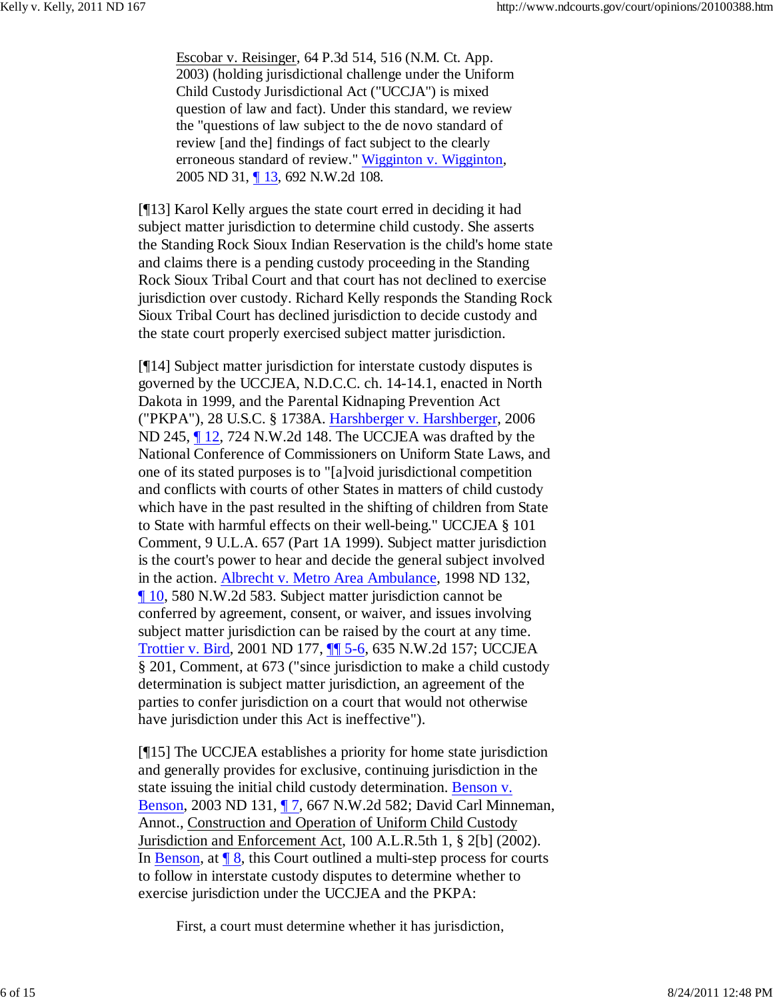Escobar v. Reisinger, 64 P.3d 514, 516 (N.M. Ct. App. 2003) (holding jurisdictional challenge under the Uniform Child Custody Jurisdictional Act ("UCCJA") is mixed question of law and fact). Under this standard, we review the "questions of law subject to the de novo standard of review [and the] findings of fact subject to the clearly erroneous standard of review." Wigginton v. Wigginton, 2005 ND 31, ¶ 13, 692 N.W.2d 108.

[¶13] Karol Kelly argues the state court erred in deciding it had subject matter jurisdiction to determine child custody. She asserts the Standing Rock Sioux Indian Reservation is the child's home state and claims there is a pending custody proceeding in the Standing Rock Sioux Tribal Court and that court has not declined to exercise jurisdiction over custody. Richard Kelly responds the Standing Rock Sioux Tribal Court has declined jurisdiction to decide custody and the state court properly exercised subject matter jurisdiction.

[¶14] Subject matter jurisdiction for interstate custody disputes is governed by the UCCJEA, N.D.C.C. ch. 14-14.1, enacted in North Dakota in 1999, and the Parental Kidnaping Prevention Act ("PKPA"), 28 U.S.C. § 1738A. Harshberger v. Harshberger, 2006 ND 245, ¶ 12, 724 N.W.2d 148. The UCCJEA was drafted by the National Conference of Commissioners on Uniform State Laws, and one of its stated purposes is to "[a]void jurisdictional competition and conflicts with courts of other States in matters of child custody which have in the past resulted in the shifting of children from State to State with harmful effects on their well-being." UCCJEA § 101 Comment, 9 U.L.A. 657 (Part 1A 1999). Subject matter jurisdiction is the court's power to hear and decide the general subject involved in the action. Albrecht v. Metro Area Ambulance, 1998 ND 132, ¶ 10, 580 N.W.2d 583. Subject matter jurisdiction cannot be conferred by agreement, consent, or waiver, and issues involving subject matter jurisdiction can be raised by the court at any time. Trottier v. Bird, 2001 ND 177, ¶¶ 5-6, 635 N.W.2d 157; UCCJEA § 201, Comment, at 673 ("since jurisdiction to make a child custody determination is subject matter jurisdiction, an agreement of the parties to confer jurisdiction on a court that would not otherwise have jurisdiction under this Act is ineffective").

[¶15] The UCCJEA establishes a priority for home state jurisdiction and generally provides for exclusive, continuing jurisdiction in the state issuing the initial child custody determination. Benson v. Benson, 2003 ND 131, ¶ 7, 667 N.W.2d 582; David Carl Minneman, Annot., Construction and Operation of Uniform Child Custody Jurisdiction and Enforcement Act, 100 A.L.R.5th 1, § 2[b] (2002). In Benson, at  $\sqrt{8}$ , this Court outlined a multi-step process for courts to follow in interstate custody disputes to determine whether to exercise jurisdiction under the UCCJEA and the PKPA:

First, a court must determine whether it has jurisdiction,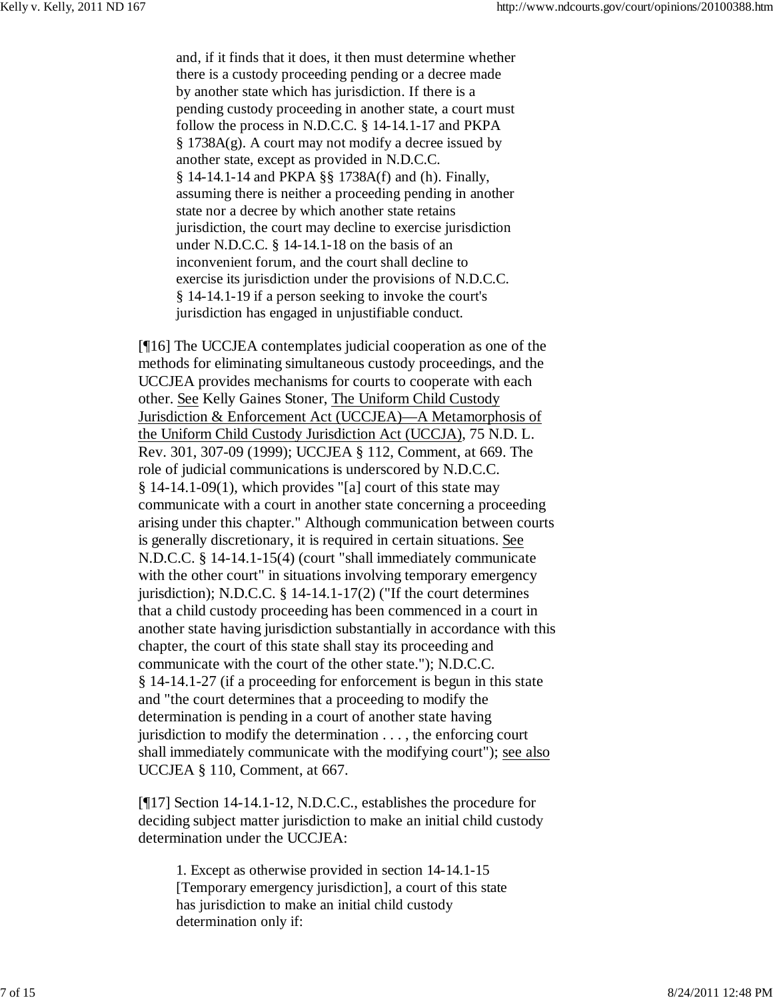and, if it finds that it does, it then must determine whether there is a custody proceeding pending or a decree made by another state which has jurisdiction. If there is a pending custody proceeding in another state, a court must follow the process in N.D.C.C. § 14-14.1-17 and PKPA § 1738A(g). A court may not modify a decree issued by another state, except as provided in N.D.C.C. § 14-14.1-14 and PKPA §§ 1738A(f) and (h). Finally, assuming there is neither a proceeding pending in another state nor a decree by which another state retains jurisdiction, the court may decline to exercise jurisdiction under N.D.C.C. § 14-14.1-18 on the basis of an inconvenient forum, and the court shall decline to exercise its jurisdiction under the provisions of N.D.C.C. § 14-14.1-19 if a person seeking to invoke the court's jurisdiction has engaged in unjustifiable conduct.

[¶16] The UCCJEA contemplates judicial cooperation as one of the methods for eliminating simultaneous custody proceedings, and the UCCJEA provides mechanisms for courts to cooperate with each other. See Kelly Gaines Stoner, The Uniform Child Custody Jurisdiction & Enforcement Act (UCCJEA)—A Metamorphosis of the Uniform Child Custody Jurisdiction Act (UCCJA), 75 N.D. L. Rev. 301, 307-09 (1999); UCCJEA § 112, Comment, at 669. The role of judicial communications is underscored by N.D.C.C. § 14-14.1-09(1), which provides "[a] court of this state may communicate with a court in another state concerning a proceeding arising under this chapter." Although communication between courts is generally discretionary, it is required in certain situations. See N.D.C.C. § 14-14.1-15(4) (court "shall immediately communicate with the other court" in situations involving temporary emergency jurisdiction); N.D.C.C. § 14-14.1-17(2) ("If the court determines that a child custody proceeding has been commenced in a court in another state having jurisdiction substantially in accordance with this chapter, the court of this state shall stay its proceeding and communicate with the court of the other state."); N.D.C.C. § 14-14.1-27 (if a proceeding for enforcement is begun in this state and "the court determines that a proceeding to modify the determination is pending in a court of another state having jurisdiction to modify the determination . . . , the enforcing court shall immediately communicate with the modifying court"); see also UCCJEA § 110, Comment, at 667.

[¶17] Section 14-14.1-12, N.D.C.C., establishes the procedure for deciding subject matter jurisdiction to make an initial child custody determination under the UCCJEA:

1. Except as otherwise provided in section 14-14.1-15 [Temporary emergency jurisdiction], a court of this state has jurisdiction to make an initial child custody determination only if: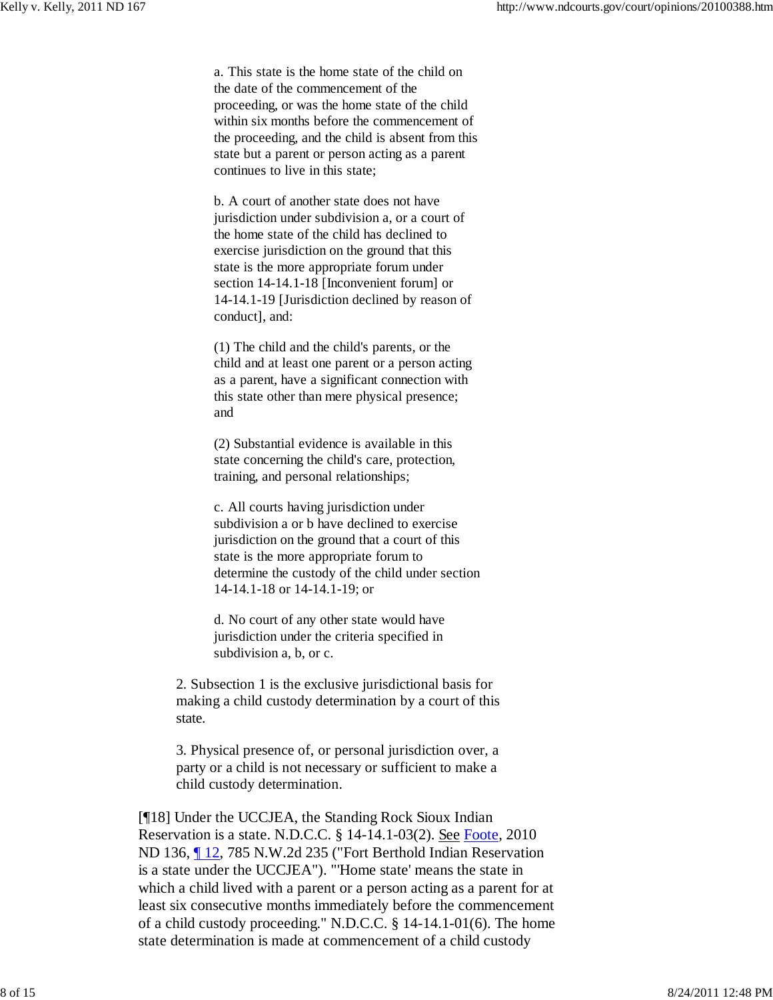a. This state is the home state of the child on the date of the commencement of the proceeding, or was the home state of the child within six months before the commencement of the proceeding, and the child is absent from this state but a parent or person acting as a parent continues to live in this state;

b. A court of another state does not have jurisdiction under subdivision a, or a court of the home state of the child has declined to exercise jurisdiction on the ground that this state is the more appropriate forum under section 14-14.1-18 [Inconvenient forum] or 14-14.1-19 [Jurisdiction declined by reason of conduct], and:

(1) The child and the child's parents, or the child and at least one parent or a person acting as a parent, have a significant connection with this state other than mere physical presence; and

(2) Substantial evidence is available in this state concerning the child's care, protection, training, and personal relationships;

c. All courts having jurisdiction under subdivision a or b have declined to exercise jurisdiction on the ground that a court of this state is the more appropriate forum to determine the custody of the child under section 14-14.1-18 or 14-14.1-19; or

d. No court of any other state would have jurisdiction under the criteria specified in subdivision a, b, or c.

2. Subsection 1 is the exclusive jurisdictional basis for making a child custody determination by a court of this state.

3. Physical presence of, or personal jurisdiction over, a party or a child is not necessary or sufficient to make a child custody determination.

[¶18] Under the UCCJEA, the Standing Rock Sioux Indian Reservation is a state. N.D.C.C. § 14-14.1-03(2). See Foote, 2010 ND 136, 12, 785 N.W.2d 235 ("Fort Berthold Indian Reservation is a state under the UCCJEA"). "'Home state' means the state in which a child lived with a parent or a person acting as a parent for at least six consecutive months immediately before the commencement of a child custody proceeding." N.D.C.C. § 14-14.1-01(6). The home state determination is made at commencement of a child custody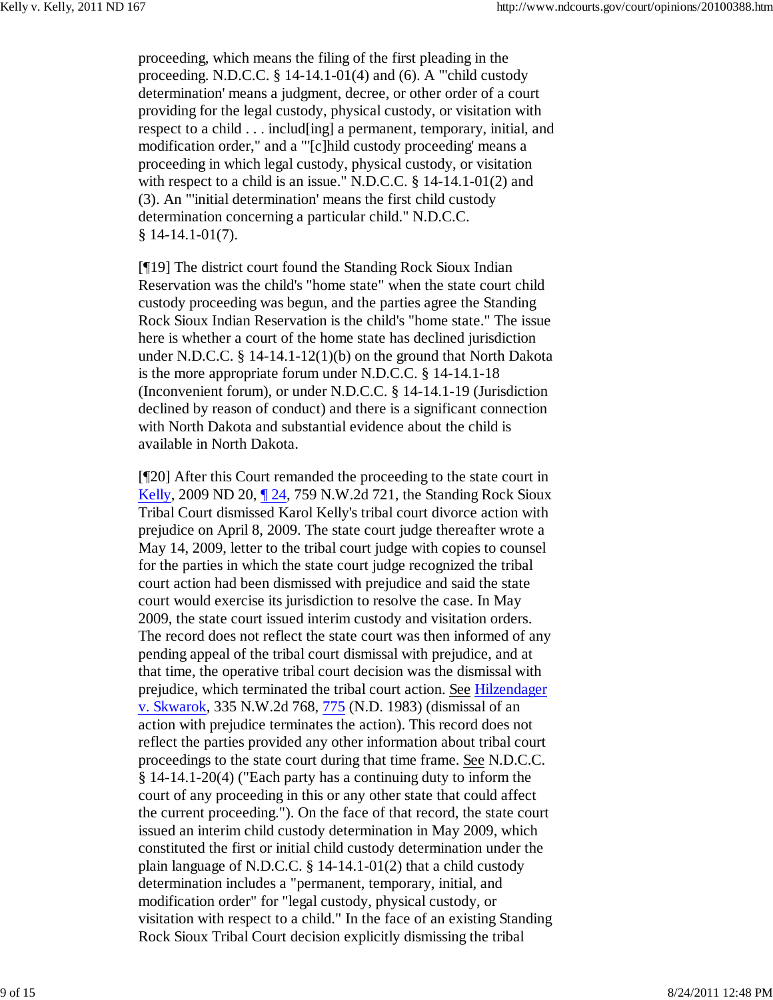proceeding, which means the filing of the first pleading in the proceeding. N.D.C.C.  $\S$  14-14.1-01(4) and (6). A "'child custody determination' means a judgment, decree, or other order of a court providing for the legal custody, physical custody, or visitation with respect to a child . . . includ[ing] a permanent, temporary, initial, and modification order," and a "'[c]hild custody proceeding' means a proceeding in which legal custody, physical custody, or visitation with respect to a child is an issue." N.D.C.C. § 14-14.1-01(2) and (3). An "'initial determination' means the first child custody determination concerning a particular child." N.D.C.C. § 14-14.1-01(7).

[¶19] The district court found the Standing Rock Sioux Indian Reservation was the child's "home state" when the state court child custody proceeding was begun, and the parties agree the Standing Rock Sioux Indian Reservation is the child's "home state." The issue here is whether a court of the home state has declined jurisdiction under N.D.C.C. § 14-14.1-12(1)(b) on the ground that North Dakota is the more appropriate forum under N.D.C.C. § 14-14.1-18 (Inconvenient forum), or under N.D.C.C. § 14-14.1-19 (Jurisdiction declined by reason of conduct) and there is a significant connection with North Dakota and substantial evidence about the child is available in North Dakota.

[¶20] After this Court remanded the proceeding to the state court in Kelly, 2009 ND 20, ¶ 24, 759 N.W.2d 721, the Standing Rock Sioux Tribal Court dismissed Karol Kelly's tribal court divorce action with prejudice on April 8, 2009. The state court judge thereafter wrote a May 14, 2009, letter to the tribal court judge with copies to counsel for the parties in which the state court judge recognized the tribal court action had been dismissed with prejudice and said the state court would exercise its jurisdiction to resolve the case. In May 2009, the state court issued interim custody and visitation orders. The record does not reflect the state court was then informed of any pending appeal of the tribal court dismissal with prejudice, and at that time, the operative tribal court decision was the dismissal with prejudice, which terminated the tribal court action. See Hilzendager v. Skwarok, 335 N.W.2d 768, 775 (N.D. 1983) (dismissal of an action with prejudice terminates the action). This record does not reflect the parties provided any other information about tribal court proceedings to the state court during that time frame. See N.D.C.C. § 14-14.1-20(4) ("Each party has a continuing duty to inform the court of any proceeding in this or any other state that could affect the current proceeding."). On the face of that record, the state court issued an interim child custody determination in May 2009, which constituted the first or initial child custody determination under the plain language of N.D.C.C. § 14-14.1-01(2) that a child custody determination includes a "permanent, temporary, initial, and modification order" for "legal custody, physical custody, or visitation with respect to a child." In the face of an existing Standing Rock Sioux Tribal Court decision explicitly dismissing the tribal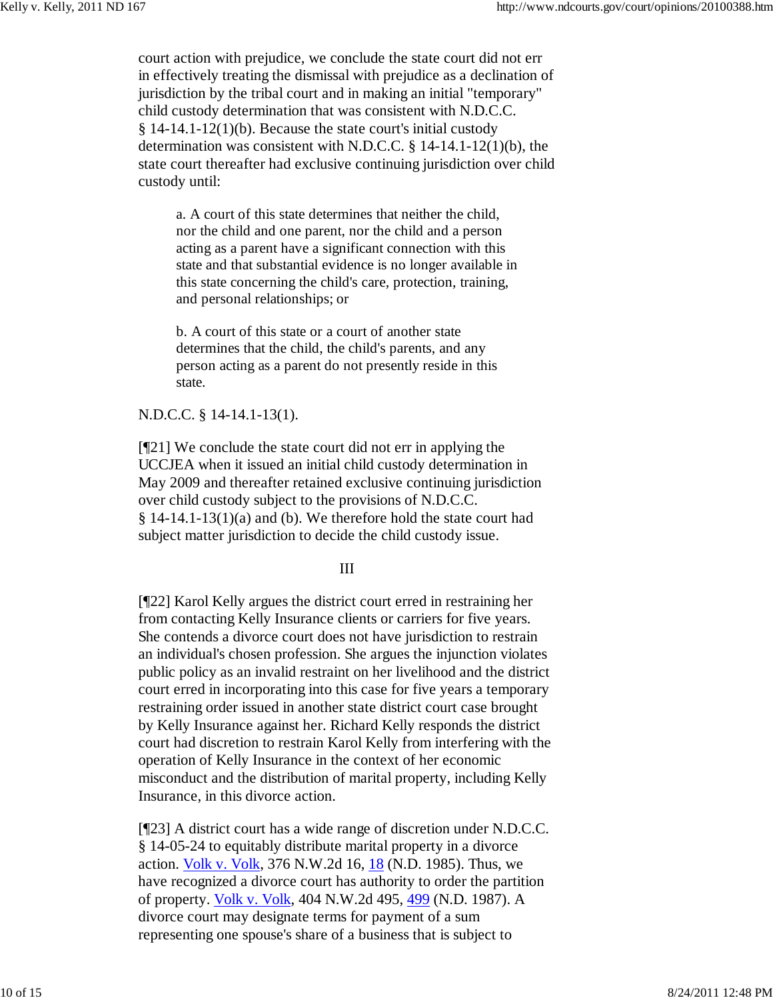court action with prejudice, we conclude the state court did not err in effectively treating the dismissal with prejudice as a declination of jurisdiction by the tribal court and in making an initial "temporary" child custody determination that was consistent with N.D.C.C. § 14-14.1-12(1)(b). Because the state court's initial custody determination was consistent with N.D.C.C. § 14-14.1-12(1)(b), the state court thereafter had exclusive continuing jurisdiction over child custody until:

a. A court of this state determines that neither the child, nor the child and one parent, nor the child and a person acting as a parent have a significant connection with this state and that substantial evidence is no longer available in this state concerning the child's care, protection, training, and personal relationships; or

b. A court of this state or a court of another state determines that the child, the child's parents, and any person acting as a parent do not presently reside in this state.

N.D.C.C. § 14-14.1-13(1).

[¶21] We conclude the state court did not err in applying the UCCJEA when it issued an initial child custody determination in May 2009 and thereafter retained exclusive continuing jurisdiction over child custody subject to the provisions of N.D.C.C.  $\S$  14-14.1-13(1)(a) and (b). We therefore hold the state court had subject matter jurisdiction to decide the child custody issue.

III

[¶22] Karol Kelly argues the district court erred in restraining her from contacting Kelly Insurance clients or carriers for five years. She contends a divorce court does not have jurisdiction to restrain an individual's chosen profession. She argues the injunction violates public policy as an invalid restraint on her livelihood and the district court erred in incorporating into this case for five years a temporary restraining order issued in another state district court case brought by Kelly Insurance against her. Richard Kelly responds the district court had discretion to restrain Karol Kelly from interfering with the operation of Kelly Insurance in the context of her economic misconduct and the distribution of marital property, including Kelly Insurance, in this divorce action.

[¶23] A district court has a wide range of discretion under N.D.C.C. § 14-05-24 to equitably distribute marital property in a divorce action. Volk v. Volk, 376 N.W.2d 16, 18 (N.D. 1985). Thus, we have recognized a divorce court has authority to order the partition of property. Volk v. Volk, 404 N.W.2d 495, 499 (N.D. 1987). A divorce court may designate terms for payment of a sum representing one spouse's share of a business that is subject to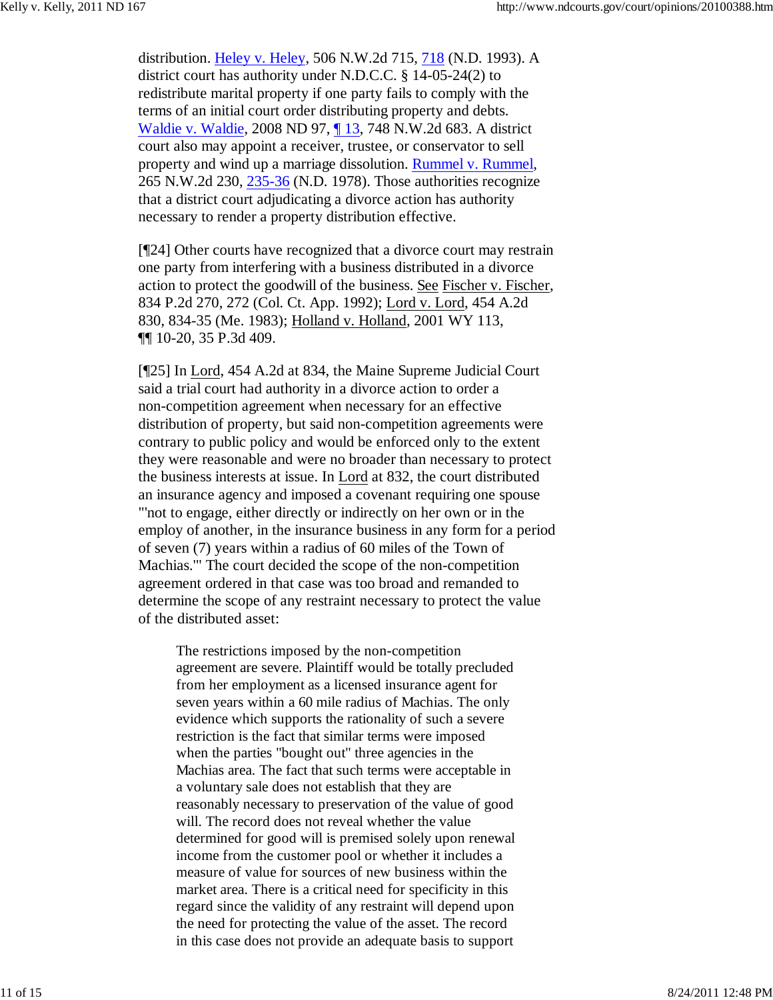distribution. Heley v. Heley, 506 N.W.2d 715, 718 (N.D. 1993). A district court has authority under N.D.C.C. § 14-05-24(2) to redistribute marital property if one party fails to comply with the terms of an initial court order distributing property and debts. Waldie v. Waldie, 2008 ND 97, ¶ 13, 748 N.W.2d 683. A district court also may appoint a receiver, trustee, or conservator to sell property and wind up a marriage dissolution. Rummel v. Rummel, 265 N.W.2d 230, 235-36 (N.D. 1978). Those authorities recognize that a district court adjudicating a divorce action has authority necessary to render a property distribution effective.

[¶24] Other courts have recognized that a divorce court may restrain one party from interfering with a business distributed in a divorce action to protect the goodwill of the business. See Fischer v. Fischer, 834 P.2d 270, 272 (Col. Ct. App. 1992); Lord v. Lord, 454 A.2d 830, 834-35 (Me. 1983); Holland v. Holland, 2001 WY 113, ¶¶ 10-20, 35 P.3d 409.

[¶25] In Lord, 454 A.2d at 834, the Maine Supreme Judicial Court said a trial court had authority in a divorce action to order a non-competition agreement when necessary for an effective distribution of property, but said non-competition agreements were contrary to public policy and would be enforced only to the extent they were reasonable and were no broader than necessary to protect the business interests at issue. In Lord at 832, the court distributed an insurance agency and imposed a covenant requiring one spouse "'not to engage, either directly or indirectly on her own or in the employ of another, in the insurance business in any form for a period of seven (7) years within a radius of 60 miles of the Town of Machias.'" The court decided the scope of the non-competition agreement ordered in that case was too broad and remanded to determine the scope of any restraint necessary to protect the value of the distributed asset:

The restrictions imposed by the non-competition agreement are severe. Plaintiff would be totally precluded from her employment as a licensed insurance agent for seven years within a 60 mile radius of Machias. The only evidence which supports the rationality of such a severe restriction is the fact that similar terms were imposed when the parties "bought out" three agencies in the Machias area. The fact that such terms were acceptable in a voluntary sale does not establish that they are reasonably necessary to preservation of the value of good will. The record does not reveal whether the value determined for good will is premised solely upon renewal income from the customer pool or whether it includes a measure of value for sources of new business within the market area. There is a critical need for specificity in this regard since the validity of any restraint will depend upon the need for protecting the value of the asset. The record in this case does not provide an adequate basis to support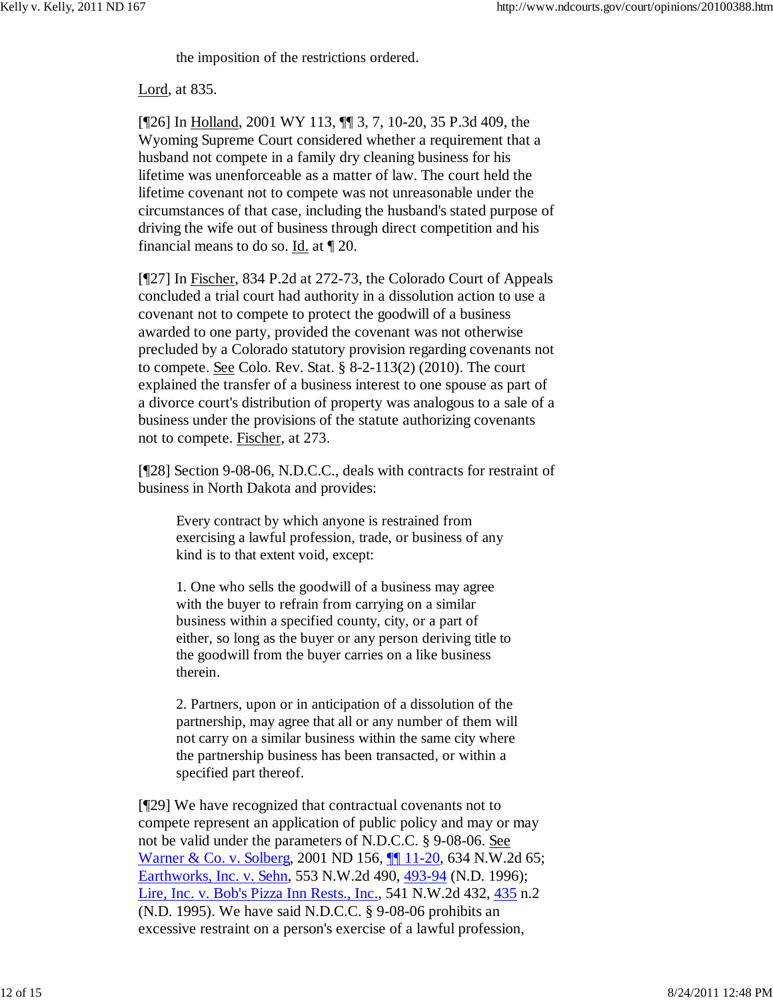the imposition of the restrictions ordered.

Lord, at 835.

[¶26] In Holland, 2001 WY 113, ¶¶ 3, 7, 10-20, 35 P.3d 409, the Wyoming Supreme Court considered whether a requirement that a husband not compete in a family dry cleaning business for his lifetime was unenforceable as a matter of law. The court held the lifetime covenant not to compete was not unreasonable under the circumstances of that case, including the husband's stated purpose of driving the wife out of business through direct competition and his financial means to do so. Id. at ¶ 20.

[¶27] In Fischer, 834 P.2d at 272-73, the Colorado Court of Appeals concluded a trial court had authority in a dissolution action to use a covenant not to compete to protect the goodwill of a business awarded to one party, provided the covenant was not otherwise precluded by a Colorado statutory provision regarding covenants not to compete. See Colo. Rev. Stat. § 8-2-113(2) (2010). The court explained the transfer of a business interest to one spouse as part of a divorce court's distribution of property was analogous to a sale of a business under the provisions of the statute authorizing covenants not to compete. Fischer, at 273.

[¶28] Section 9-08-06, N.D.C.C., deals with contracts for restraint of business in North Dakota and provides:

Every contract by which anyone is restrained from exercising a lawful profession, trade, or business of any kind is to that extent void, except:

1. One who sells the goodwill of a business may agree with the buyer to refrain from carrying on a similar business within a specified county, city, or a part of either, so long as the buyer or any person deriving title to the goodwill from the buyer carries on a like business therein.

2. Partners, upon or in anticipation of a dissolution of the partnership, may agree that all or any number of them will not carry on a similar business within the same city where the partnership business has been transacted, or within a specified part thereof.

[¶29] We have recognized that contractual covenants not to compete represent an application of public policy and may or may not be valid under the parameters of N.D.C.C. § 9-08-06. See Warner & Co. v. Solberg, 2001 ND 156, **[1]** 11-20, 634 N.W.2d 65; Earthworks, Inc. v. Sehn, 553 N.W.2d 490, 493-94 (N.D. 1996); Lire, Inc. v. Bob's Pizza Inn Rests., Inc., 541 N.W.2d 432, 435 n.2 (N.D. 1995). We have said N.D.C.C. § 9-08-06 prohibits an excessive restraint on a person's exercise of a lawful profession,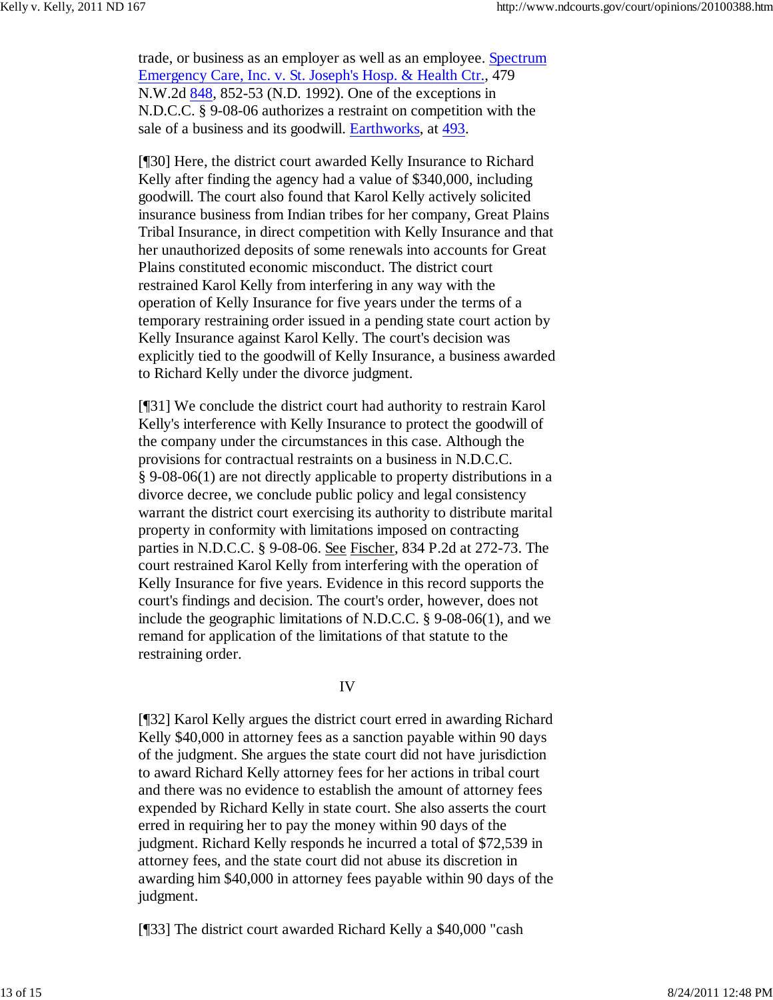trade, or business as an employer as well as an employee. Spectrum Emergency Care, Inc. v. St. Joseph's Hosp. & Health Ctr., 479 N.W.2d 848, 852-53 (N.D. 1992). One of the exceptions in N.D.C.C. § 9-08-06 authorizes a restraint on competition with the sale of a business and its goodwill. Earthworks, at 493.

[¶30] Here, the district court awarded Kelly Insurance to Richard Kelly after finding the agency had a value of \$340,000, including goodwill. The court also found that Karol Kelly actively solicited insurance business from Indian tribes for her company, Great Plains Tribal Insurance, in direct competition with Kelly Insurance and that her unauthorized deposits of some renewals into accounts for Great Plains constituted economic misconduct. The district court restrained Karol Kelly from interfering in any way with the operation of Kelly Insurance for five years under the terms of a temporary restraining order issued in a pending state court action by Kelly Insurance against Karol Kelly. The court's decision was explicitly tied to the goodwill of Kelly Insurance, a business awarded to Richard Kelly under the divorce judgment.

[¶31] We conclude the district court had authority to restrain Karol Kelly's interference with Kelly Insurance to protect the goodwill of the company under the circumstances in this case. Although the provisions for contractual restraints on a business in N.D.C.C. § 9-08-06(1) are not directly applicable to property distributions in a divorce decree, we conclude public policy and legal consistency warrant the district court exercising its authority to distribute marital property in conformity with limitations imposed on contracting parties in N.D.C.C. § 9-08-06. See Fischer, 834 P.2d at 272-73. The court restrained Karol Kelly from interfering with the operation of Kelly Insurance for five years. Evidence in this record supports the court's findings and decision. The court's order, however, does not include the geographic limitations of N.D.C.C. § 9-08-06(1), and we remand for application of the limitations of that statute to the restraining order.

# IV

[¶32] Karol Kelly argues the district court erred in awarding Richard Kelly \$40,000 in attorney fees as a sanction payable within 90 days of the judgment. She argues the state court did not have jurisdiction to award Richard Kelly attorney fees for her actions in tribal court and there was no evidence to establish the amount of attorney fees expended by Richard Kelly in state court. She also asserts the court erred in requiring her to pay the money within 90 days of the judgment. Richard Kelly responds he incurred a total of \$72,539 in attorney fees, and the state court did not abuse its discretion in awarding him \$40,000 in attorney fees payable within 90 days of the judgment.

[¶33] The district court awarded Richard Kelly a \$40,000 "cash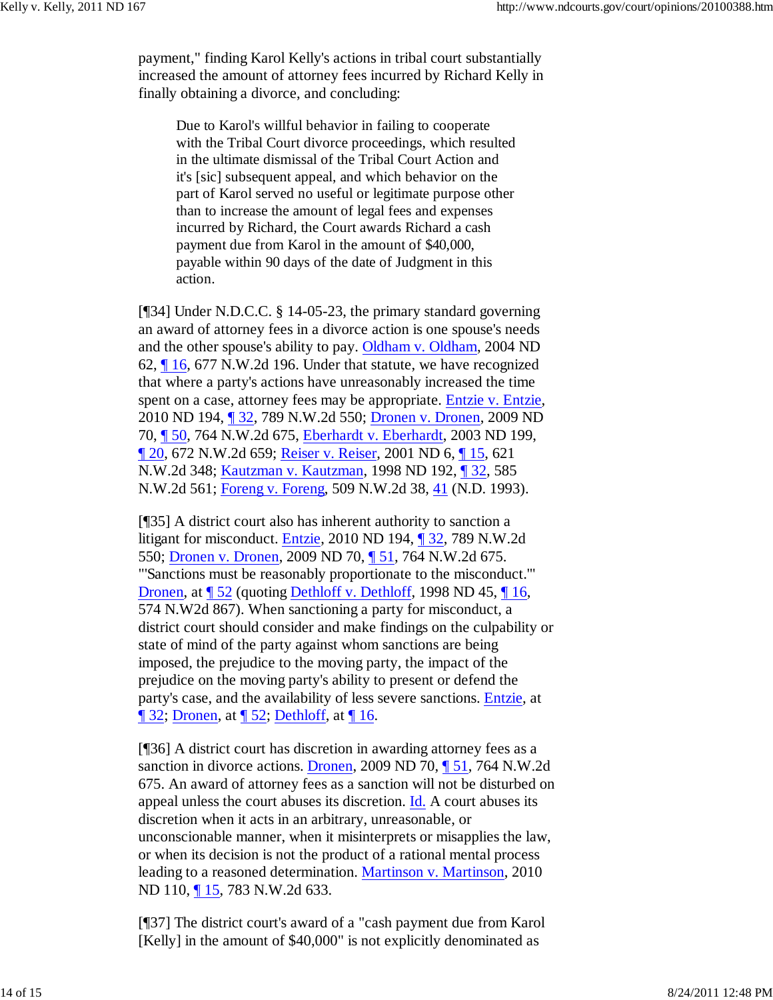payment," finding Karol Kelly's actions in tribal court substantially increased the amount of attorney fees incurred by Richard Kelly in finally obtaining a divorce, and concluding:

Due to Karol's willful behavior in failing to cooperate with the Tribal Court divorce proceedings, which resulted in the ultimate dismissal of the Tribal Court Action and it's [sic] subsequent appeal, and which behavior on the part of Karol served no useful or legitimate purpose other than to increase the amount of legal fees and expenses incurred by Richard, the Court awards Richard a cash payment due from Karol in the amount of \$40,000, payable within 90 days of the date of Judgment in this action.

[¶34] Under N.D.C.C. § 14-05-23, the primary standard governing an award of attorney fees in a divorce action is one spouse's needs and the other spouse's ability to pay. Oldham v. Oldham, 2004 ND 62, ¶ 16, 677 N.W.2d 196. Under that statute, we have recognized that where a party's actions have unreasonably increased the time spent on a case, attorney fees may be appropriate. Entzie v. Entzie, 2010 ND 194, ¶ 32, 789 N.W.2d 550; Dronen v. Dronen, 2009 ND 70, ¶ 50, 764 N.W.2d 675, Eberhardt v. Eberhardt, 2003 ND 199, ¶ 20, 672 N.W.2d 659; Reiser v. Reiser, 2001 ND 6, ¶ 15, 621 N.W.2d 348; Kautzman v. Kautzman, 1998 ND 192, ¶ 32, 585 N.W.2d 561; Foreng v. Foreng, 509 N.W.2d 38, 41 (N.D. 1993).

[¶35] A district court also has inherent authority to sanction a litigant for misconduct. Entzie, 2010 ND 194, ¶ 32, 789 N.W.2d 550; Dronen v. Dronen, 2009 ND 70, ¶ 51, 764 N.W.2d 675. "'Sanctions must be reasonably proportionate to the misconduct.'" Dronen, at  $\P$  52 (quoting Dethloff v. Dethloff, 1998 ND 45,  $\P$  16, 574 N.W2d 867). When sanctioning a party for misconduct, a district court should consider and make findings on the culpability or state of mind of the party against whom sanctions are being imposed, the prejudice to the moving party, the impact of the prejudice on the moving party's ability to present or defend the party's case, and the availability of less severe sanctions. Entzie, at  $\P$  32; Dronen, at  $\P$  52; Dethloff, at  $\P$  16.

[¶36] A district court has discretion in awarding attorney fees as a sanction in divorce actions. Dronen, 2009 ND 70, 151, 764 N.W.2d 675. An award of attorney fees as a sanction will not be disturbed on appeal unless the court abuses its discretion. Id. A court abuses its discretion when it acts in an arbitrary, unreasonable, or unconscionable manner, when it misinterprets or misapplies the law, or when its decision is not the product of a rational mental process leading to a reasoned determination. Martinson v. Martinson, 2010 ND 110, ¶ 15, 783 N.W.2d 633.

[¶37] The district court's award of a "cash payment due from Karol [Kelly] in the amount of \$40,000" is not explicitly denominated as